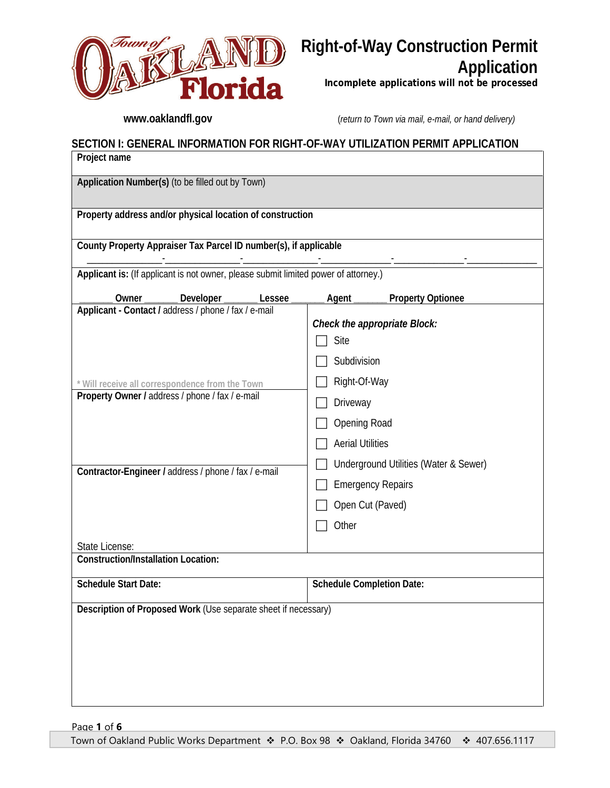

**Incomplete applications will not be processed**

*www.oaklandfl.gov mail, e-mail, or hand delivery (return to Town via mail, e-mail, or hand delivery)* 

#### **SECTION I: GENERAL INFORMATION FOR RIGHT-OF-WAY UTILIZATION PERMIT APPLICATION**

| Project name                                                                                                                                                                                                       |                                                                  |  |                                                                                                                                |                                                                                                   |  |  |  |  |
|--------------------------------------------------------------------------------------------------------------------------------------------------------------------------------------------------------------------|------------------------------------------------------------------|--|--------------------------------------------------------------------------------------------------------------------------------|---------------------------------------------------------------------------------------------------|--|--|--|--|
| Application Number(s) (to be filled out by Town)                                                                                                                                                                   |                                                                  |  |                                                                                                                                |                                                                                                   |  |  |  |  |
|                                                                                                                                                                                                                    |                                                                  |  |                                                                                                                                |                                                                                                   |  |  |  |  |
| Property address and/or physical location of construction                                                                                                                                                          |                                                                  |  |                                                                                                                                |                                                                                                   |  |  |  |  |
|                                                                                                                                                                                                                    | County Property Appraiser Tax Parcel ID number(s), if applicable |  |                                                                                                                                |                                                                                                   |  |  |  |  |
|                                                                                                                                                                                                                    |                                                                  |  |                                                                                                                                |                                                                                                   |  |  |  |  |
| Applicant is: (If applicant is not owner, please submit limited power of attorney.)                                                                                                                                |                                                                  |  |                                                                                                                                |                                                                                                   |  |  |  |  |
| Owner                                                                                                                                                                                                              | Developer _______ Lessee _                                       |  | Agent _                                                                                                                        | _ Property Optionee                                                                               |  |  |  |  |
| Applicant - Contact / address / phone / fax / e-mail<br>* Will receive all correspondence from the Town<br>Property Owner / address / phone / fax / e-mail<br>Contractor-Engineer / address / phone / fax / e-mail |                                                                  |  | Site<br>Subdivision<br>Right-Of-Way<br>Driveway<br><b>Opening Road</b><br><b>Aerial Utilities</b><br>Open Cut (Paved)<br>Other | Check the appropriate Block:<br>Underground Utilities (Water & Sewer)<br><b>Emergency Repairs</b> |  |  |  |  |
| State License:                                                                                                                                                                                                     |                                                                  |  |                                                                                                                                |                                                                                                   |  |  |  |  |
| <b>Construction/Installation Location:</b>                                                                                                                                                                         |                                                                  |  |                                                                                                                                |                                                                                                   |  |  |  |  |
| <b>Schedule Start Date:</b>                                                                                                                                                                                        |                                                                  |  | <b>Schedule Completion Date:</b>                                                                                               |                                                                                                   |  |  |  |  |
| Description of Proposed Work (Use separate sheet if necessary)                                                                                                                                                     |                                                                  |  |                                                                                                                                |                                                                                                   |  |  |  |  |
|                                                                                                                                                                                                                    |                                                                  |  |                                                                                                                                |                                                                                                   |  |  |  |  |
|                                                                                                                                                                                                                    |                                                                  |  |                                                                                                                                |                                                                                                   |  |  |  |  |
|                                                                                                                                                                                                                    |                                                                  |  |                                                                                                                                |                                                                                                   |  |  |  |  |
|                                                                                                                                                                                                                    |                                                                  |  |                                                                                                                                |                                                                                                   |  |  |  |  |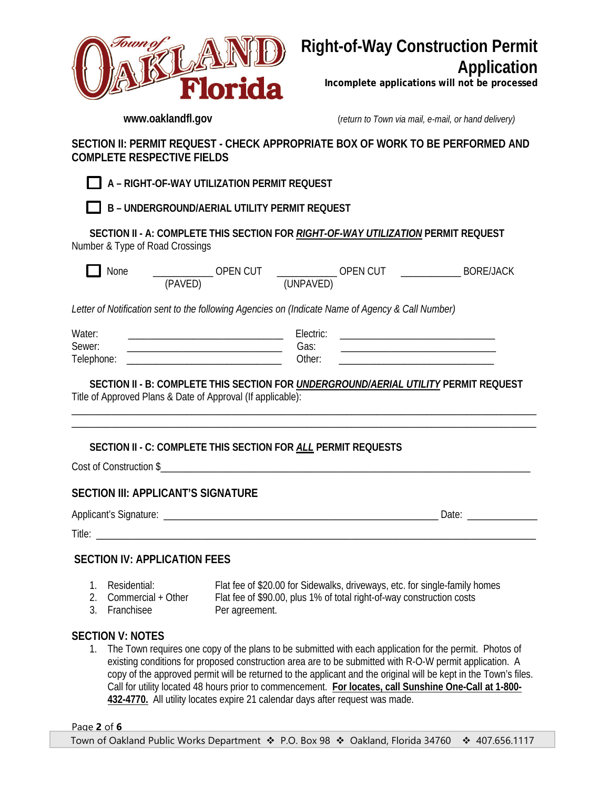

**Incomplete applications will not be processed**

*www.oaklandfl.gov iverally changle in the Town via mail, e-mail, or hand delivery)* **<b>***iverally changle in the intermally delivery* 

#### **SECTION II: PERMIT REQUEST - CHECK APPROPRIATE BOX OF WORK TO BE PERFORMED AND COMPLETE RESPECTIVE FIELDS**

**A – RIGHT-OF-WAY UTILIZATION PERMIT REQUEST**

**B – UNDERGROUND/AERIAL UTILITY PERMIT REQUEST**

**SECTION II - A: COMPLETE THIS SECTION FOR** *RIGHT-OF-WAY UTILIZATION* **PERMIT REQUEST** Number & Type of Road Crossings

| <b>None</b> | ) PF N       | IPF N           | ORE/JACK<br>к١ |
|-------------|--------------|-----------------|----------------|
|             | <b>PAVED</b> | (UNPAVED)<br>-- |                |

*Letter of Notification sent to the following Agencies on (Indicate Name of Agency & Call Number)*

| Water                                   | uunu.          |  |
|-----------------------------------------|----------------|--|
| $\sim$<br>Sewer                         | $\sim$<br>:دەت |  |
| $\overline{\phantom{a}}$<br>טו ושו<br>ິ | $2$ ther:      |  |

**SECTION II - B: COMPLETE THIS SECTION FOR** *UNDERGROUND/AERIAL UTILITY* **PERMIT REQUEST** Title of Approved Plans & Date of Approval (If applicable):

\_\_\_\_\_\_\_\_\_\_\_\_\_\_\_\_\_\_\_\_\_\_\_\_\_\_\_\_\_\_\_\_\_\_\_\_\_\_\_\_\_\_\_\_\_\_\_\_\_\_\_\_\_\_\_\_\_\_\_\_\_\_\_\_\_\_\_\_\_\_\_\_\_\_\_\_\_\_\_\_\_\_\_\_\_\_\_\_\_\_\_\_\_ \_\_\_\_\_\_\_\_\_\_\_\_\_\_\_\_\_\_\_\_\_\_\_\_\_\_\_\_\_\_\_\_\_\_\_\_\_\_\_\_\_\_\_\_\_\_\_\_\_\_\_\_\_\_\_\_\_\_\_\_\_\_\_\_\_\_\_\_\_\_\_\_\_\_\_\_\_\_\_\_\_\_\_\_\_\_\_\_\_\_\_\_\_

#### **SECTION II - C: COMPLETE THIS SECTION FOR** *ALL* **PERMIT REQUESTS**

Cost of Construction \$

#### **SECTION III: APPLICANT'S SIGNATURE**

Applicant's Signature:  $\Box$ 

Title: **with the set of the set of the set of the set of the set of the set of the set of the set of the set of the set of the set of the set of the set of the set of the set of the set of the set of the set of the set of** 

### **SECTION IV: APPLICATION FEES**

- 1. Residential: Flat fee of \$20.00 for Sidewalks, driveways, etc. for single-family homes
- 2. Commercial + Other Flat fee of \$90.00, plus 1% of total right-of-way construction costs
- 3. Franchisee Per agreement.

#### **SECTION V: NOTES**

1. The Town requires one copy of the plans to be submitted with each application for the permit. Photos of existing conditions for proposed construction area are to be submitted with R-O-W permit application. A copy of the approved permit will be returned to the applicant and the original will be kept in the Town's files. Call for utility located 48 hours prior to commencement. **For locates, call Sunshine One-Call at 1-800- 432-4770.** All utility locates expire 21 calendar days after request was made.

Page **2** of **6**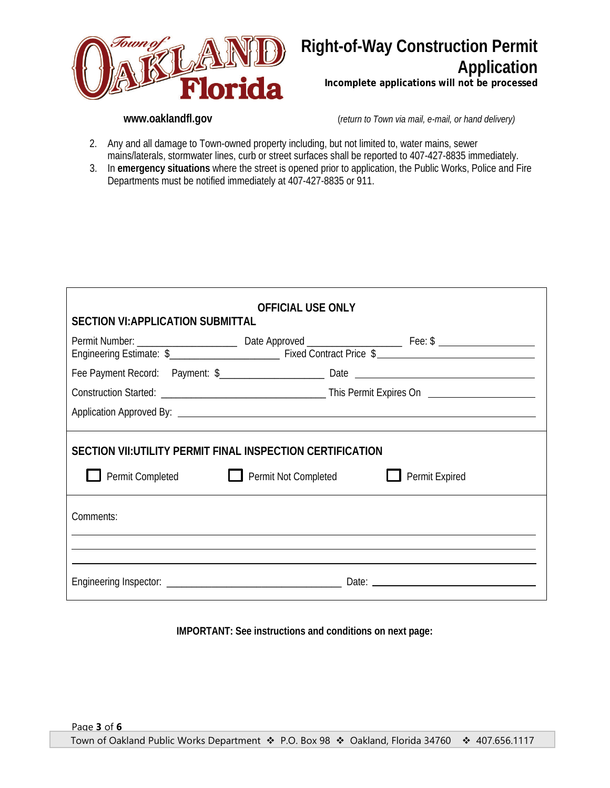

**Incomplete applications will not be processed**

*www.oaklandfl.gov mail, e-mail, or hand delivery (return to Town via mail, e-mail, or hand delivery)* 

- 2. Any and all damage to Town-owned property including, but not limited to, water mains, sewer mains/laterals, stormwater lines, curb or street surfaces shall be reported to 407-427-8835 immediately.
- 3. In **emergency situations** where the street is opened prior to application, the Public Works, Police and Fire Departments must be notified immediately at 407-427-8835 or 911.

| <b>OFFICIAL USE ONLY</b><br><b>SECTION VI: APPLICATION SUBMITTAL</b>                                                                   |  |  |  |  |  |  |
|----------------------------------------------------------------------------------------------------------------------------------------|--|--|--|--|--|--|
|                                                                                                                                        |  |  |  |  |  |  |
|                                                                                                                                        |  |  |  |  |  |  |
|                                                                                                                                        |  |  |  |  |  |  |
|                                                                                                                                        |  |  |  |  |  |  |
| SECTION VII: UTILITY PERMIT FINAL INSPECTION CERTIFICATION<br><b>Permit Completed</b><br><b>Permit Not Completed</b><br>Permit Expired |  |  |  |  |  |  |
| Comments:                                                                                                                              |  |  |  |  |  |  |
|                                                                                                                                        |  |  |  |  |  |  |

**IMPORTANT: See instructions and conditions on next page:**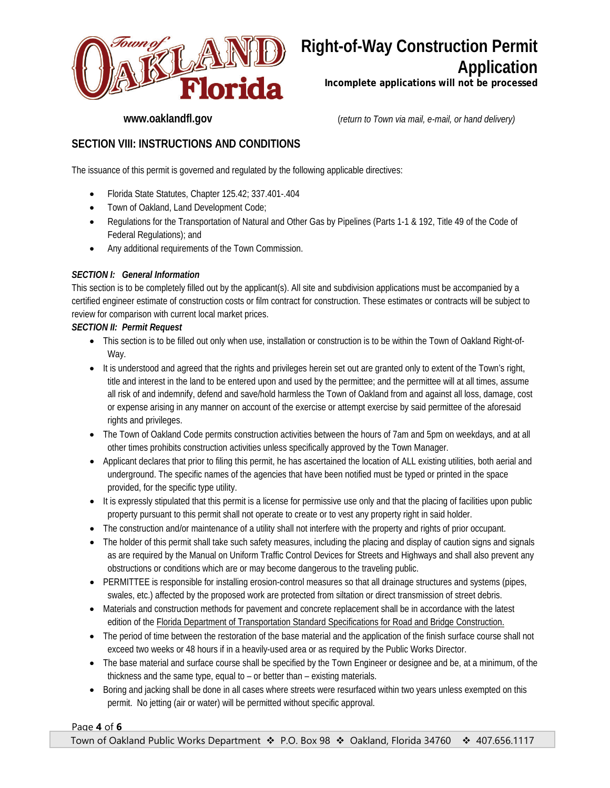

# **Right-of-Way Construction Permit**

**Application**

**Incomplete applications will not be processed**

*www.oaklandfl.gov constructionally intermediate (return to Town via mail, e-mail, or hand delivery)* 

#### **SECTION VIII: INSTRUCTIONS AND CONDITIONS**

The issuance of this permit is governed and regulated by the following applicable directives:

- Florida State Statutes, Chapter 125.42; 337.401-.404
- Town of Oakland, Land Development Code;
- Regulations for the Transportation of Natural and Other Gas by Pipelines (Parts 1-1 & 192, Title 49 of the Code of Federal Regulations); and
- Any additional requirements of the Town Commission.

#### *SECTION I: General Information*

This section is to be completely filled out by the applicant(s). All site and subdivision applications must be accompanied by a certified engineer estimate of construction costs or film contract for construction. These estimates or contracts will be subject to review for comparison with current local market prices.

#### *SECTION II: Permit Request*

- This section is to be filled out only when use, installation or construction is to be within the Town of Oakland Right-of-Way.
- It is understood and agreed that the rights and privileges herein set out are granted only to extent of the Town's right, title and interest in the land to be entered upon and used by the permittee; and the permittee will at all times, assume all risk of and indemnify, defend and save/hold harmless the Town of Oakland from and against all loss, damage, cost or expense arising in any manner on account of the exercise or attempt exercise by said permittee of the aforesaid rights and privileges.
- The Town of Oakland Code permits construction activities between the hours of 7am and 5pm on weekdays, and at all other times prohibits construction activities unless specifically approved by the Town Manager.
- Applicant declares that prior to filing this permit, he has ascertained the location of ALL existing utilities, both aerial and underground. The specific names of the agencies that have been notified must be typed or printed in the space provided, for the specific type utility.
- It is expressly stipulated that this permit is a license for permissive use only and that the placing of facilities upon public property pursuant to this permit shall not operate to create or to vest any property right in said holder.
- The construction and/or maintenance of a utility shall not interfere with the property and rights of prior occupant.
- The holder of this permit shall take such safety measures, including the placing and display of caution signs and signals as are required by the Manual on Uniform Traffic Control Devices for Streets and Highways and shall also prevent any obstructions or conditions which are or may become dangerous to the traveling public.
- PERMITTEE is responsible for installing erosion-control measures so that all drainage structures and systems (pipes, swales, etc.) affected by the proposed work are protected from siltation or direct transmission of street debris.
- Materials and construction methods for pavement and concrete replacement shall be in accordance with the latest edition of the Florida Department of Transportation Standard Specifications for Road and Bridge Construction.
- The period of time between the restoration of the base material and the application of the finish surface course shall not exceed two weeks or 48 hours if in a heavily-used area or as required by the Public Works Director.
- The base material and surface course shall be specified by the Town Engineer or designee and be, at a minimum, of the thickness and the same type, equal to – or better than – existing materials.
- Boring and jacking shall be done in all cases where streets were resurfaced within two years unless exempted on this permit. No jetting (air or water) will be permitted without specific approval.

#### Page **4** of **6**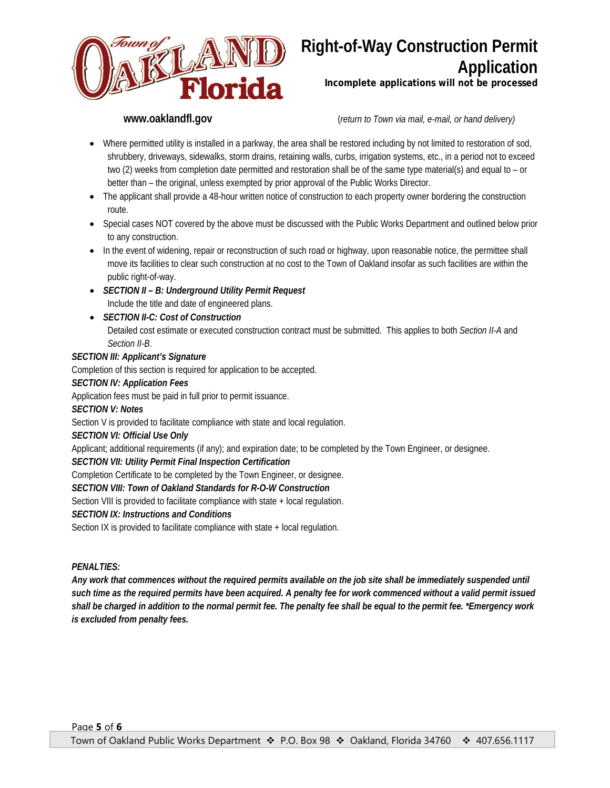

**Incomplete applications will not be processed**

*www.oaklandfl.gov iverally changle in the Town via mail, e-mail, or hand delivery)* **<b>***iverally changle in the intermally delivery* 

- Where permitted utility is installed in a parkway, the area shall be restored including by not limited to restoration of sod, shrubbery, driveways, sidewalks, storm drains, retaining walls, curbs, irrigation systems, etc., in a period not to exceed two (2) weeks from completion date permitted and restoration shall be of the same type material(s) and equal to – or better than – the original, unless exempted by prior approval of the Public Works Director.
- The applicant shall provide a 48-hour written notice of construction to each property owner bordering the construction route.
- Special cases NOT covered by the above must be discussed with the Public Works Department and outlined below prior to any construction.
- In the event of widening, repair or reconstruction of such road or highway, upon reasonable notice, the permittee shall move its facilities to clear such construction at no cost to the Town of Oakland insofar as such facilities are within the public right-of-way.
- *SECTION II – B: Underground Utility Permit Request* Include the title and date of engineered plans.
- *SECTION II-C: Cost of Construction*

Detailed cost estimate or executed construction contract must be submitted. This applies to both *Section II-A* and *Section II-B*.

#### *SECTION III: Applicant's Signature*

Completion of this section is required for application to be accepted.

#### *SECTION IV: Application Fees*

Application fees must be paid in full prior to permit issuance.

#### *SECTION V: Notes*

Section V is provided to facilitate compliance with state and local regulation.

#### *SECTION VI: Official Use Only*

Applicant; additional requirements (if any); and expiration date; to be completed by the Town Engineer, or designee.

#### *SECTION VII: Utility Permit Final Inspection Certification*

Completion Certificate to be completed by the Town Engineer, or designee.

#### *SECTION VIII: Town of Oakland Standards for R-O-W Construction*

Section VIII is provided to facilitate compliance with state + local regulation.

#### *SECTION IX: Instructions and Conditions*

Section IX is provided to facilitate compliance with state + local regulation.

#### *PENALTIES:*

*Any work that commences without the required permits available on the job site shall be immediately suspended until such time as the required permits have been acquired. A penalty fee for work commenced without a valid permit issued shall be charged in addition to the normal permit fee. The penalty fee shall be equal to the permit fee. \*Emergency work is excluded from penalty fees.*